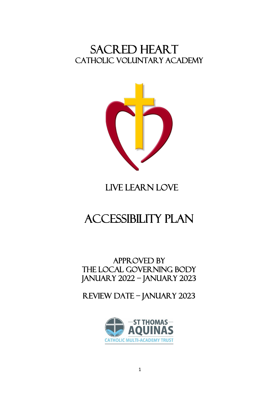## SACRED HEART CATHOLIC VOLUNTARY ACADEMY



# LIVE LEARN LOVE

# accessibility plan

### APPROVED BY THE local GOVERNING BODY January 2022 – January 2023

## Review date – January 2023

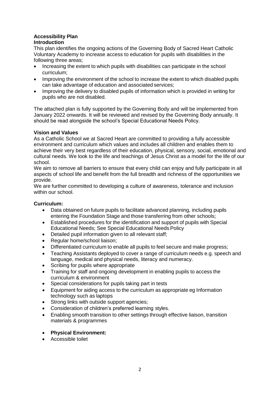#### **Accessibility Plan Introduction**

This plan identifies the ongoing actions of the Governing Body of Sacred Heart Catholic Voluntary Academy to increase access to education for pupils with disabilities in the following three areas;

- Increasing the extent to which pupils with disabilities can participate in the school curriculum;
- Improving the environment of the school to increase the extent to which disabled pupils can take advantage of education and associated services;
- Improving the delivery to disabled pupils of information which is provided in writing for pupils who are not disabled.

The attached plan is fully supported by the Governing Body and will be implemented from January 2022 onwards. It will be reviewed and revised by the Governing Body annually. It should be read alongside the school's Special Educational Needs Policy.

#### **Vision and Values**

As a Catholic School we at Sacred Heart are committed to providing a fully accessible environment and curriculum which values and includes all children and enables them to achieve their very best regardless of their education, physical, sensory, social, emotional and cultural needs. We look to the life and teachings of Jesus Christ as a model for the life of our school.

We aim to remove all barriers to ensure that every child can enjoy and fully participate in all aspects of school life and benefit from the full breadth and richness of the opportunities we provide.

We are further committed to developing a culture of awareness, tolerance and inclusion within our school.

#### **Curriculum:**

- Data obtained on future pupils to facilitate advanced planning, including pupils entering the Foundation Stage and those transferring from other schools;
- Established procedures for the identification and support of pupils with Special Educational Needs; See Special Educational Needs Policy
- Detailed pupil information given to all relevant staff;
- Regular home/school liaison;
- Differentiated curriculum to enable all pupils to feel secure and make progress;
- Teaching Assistants deployed to cover a range of curriculum needs e.g. speech and language, medical and physical needs, literacy and numeracy.
- Scribing for pupils where appropriate
- Training for staff and ongoing development in enabling pupils to access the curriculum & environment
- Special considerations for pupils taking part in tests
- Equipment for aiding access to the curriculum as appropriate eg Information technology such as laptops
- Strong links with outside support agencies;
- Consideration of children's preferred learning styles.
- Enabling smooth transition to other settings through effective liaison, transition materials & programmes
- **Physical Environment:**
- Accessible toilet